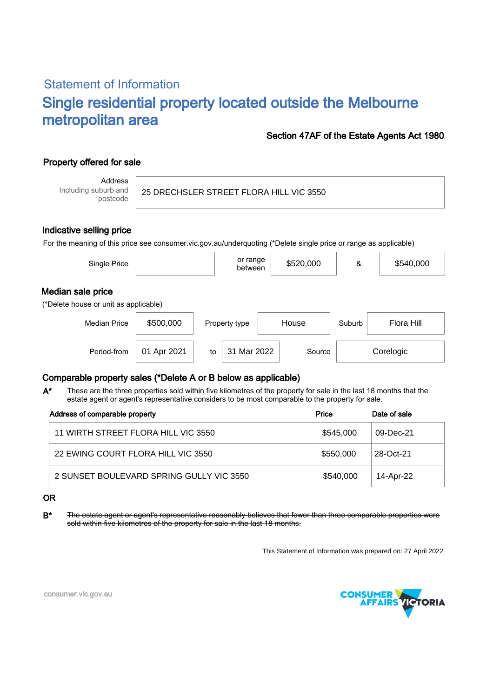# Statement of Information Single residential property located outside the Melbourne metropolitan area

### Section 47AF of the Estate Agents Act 1980

# Property offered for sale

Address Including suburb and postcode

25 DRECHSLER STREET FLORA HILL VIC 3550

#### Indicative selling price

For the meaning of this price see consumer.vic.gov.au/underquoting (\*Delete single price or range as applicable)

| Single Price                                               |             |    | or range<br>between |       | \$520,000 | &                    | \$540,000 |
|------------------------------------------------------------|-------------|----|---------------------|-------|-----------|----------------------|-----------|
| Median sale price<br>(*Delete house or unit as applicable) |             |    |                     |       |           |                      |           |
| <b>Median Price</b>                                        | \$500,000   |    | Property type       | House |           | Flora Hill<br>Suburb |           |
| Period-from                                                | 01 Apr 2021 | to | 31 Mar 2022         |       | Source    |                      | Corelogic |

## Comparable property sales (\*Delete A or B below as applicable)

These are the three properties sold within five kilometres of the property for sale in the last 18 months that the estate agent or agent's representative considers to be most comparable to the property for sale. A\*

| Address of comparable property           | Price     | Date of sale |
|------------------------------------------|-----------|--------------|
| 11 WIRTH STREET FLORA HILL VIC 3550      | \$545,000 | 09-Dec-21    |
| 22 EWING COURT FLORA HILL VIC 3550       | \$550,000 | 28-Oct-21    |
| 2 SUNSET BOULEVARD SPRING GULLY VIC 3550 | \$540,000 | 14-Apr-22    |

#### OR

B<sup>\*</sup> The estate agent or agent's representative reasonably believes that fewer than three comparable properties were sold within five kilometres of the property for sale in the last 18 months.

This Statement of Information was prepared on: 27 April 2022



consumer.vic.gov.au